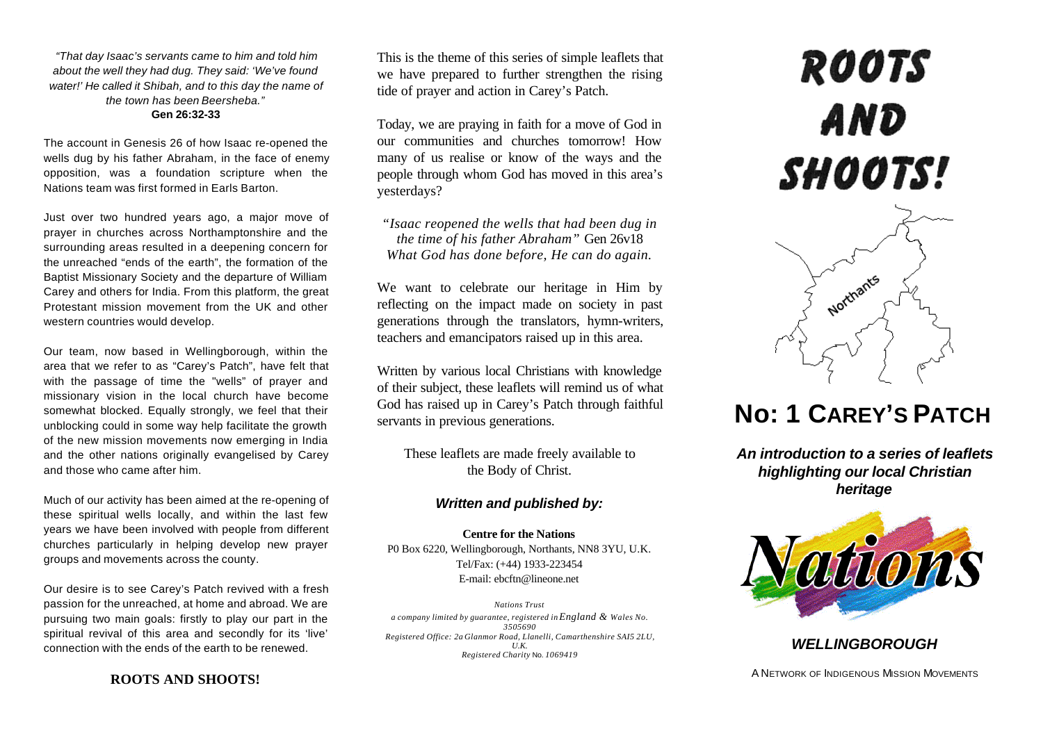*"That day Isaac's servants came to him and told him about the well they had dug. They said: 'We've found water!' He called it Shibah, and to this day the name of the town has been Beersheba."*

#### **Gen 26:32-33**

The account in Genesis 26 of how Isaac re-opened the wells dug by his father Abraham, in the face of enemy opposition, was a foundation scripture when the Nations team was first formed in Earls Barton.

Just over two hundred years ago, a major move of prayer in churches across Northamptonshire and the surrounding areas resulted in a deepening concern for the unreached "ends of the earth", the formation of the Baptist Missionary Society and the departure of William Carey and others for India. From this platform, the great Protestant mission movement from the UK and other western countries would develop.

Our team, now based in Wellingborough, within the area that we refer to as "Carey's Patch", have felt that with the passage of time the "wells" of prayer and missionary vision in the local church have become somewhat blocked. Equally strongly, we feel that their unblocking could in some way help facilitate the growth of the new mission movements now emerging in India and the other nations originally evangelised by Carey and those who came after him.

Much of our activity has been aimed at the re-opening of these spiritual wells locally, and within the last few years we have been involved with people from different churches particularly in helping develop new prayer groups and movements across the county.

Our desire is to see Carey's Patch revived with a fresh passion for the unreached, at home and abroad. We are pursuing two main goals: firstly to play our part in the spiritual revival of this area and secondly for its 'live' connection with the ends of the earth to be renewed.

This is the theme of this series of simple leaflets that we have prepared to further strengthen the rising tide of prayer and action in Carey's Patch.

Today, we are praying in faith for a move of God in our communities and churches tomorrow! How many of us realise or know of the ways and the people through whom God has moved in this area's yesterdays?

*"Isaac reopened the wells that had been dug in the time of his father Abraham"* Gen 26v18 *What God has done before, He can do again.*

We want to celebrate our heritage in Him by reflecting on the impact made on society in past generations through the translators, hymn-writers, teachers and emancipators raised up in this area.

Written by various local Christians with knowledge of their subject, these leaflets will remind us of what God has raised up in Carey's Patch through faithful servants in previous generations.

These leaflets are made freely available to the Body of Christ.

### *Written and published by:*

**Centre for the Nations** P0 Box 6220, Wellingborough, Northants, NN8 3YU, U.K. Tel/Fax: (+44) 1933-223454 E-mail: ebcftn@lineone.net

*Nations Trust a company limited by guarantee, registered in England & Wales No. 3505690 Registered Office: 2a Glanmor Road, Llanelli, Camarthenshire SAI5 2LU, U.K. Registered Charity* No. *1069419*

# **ROOTS** AND SHOOTS!



## **No: 1 CAREY'S PATCH**

*An introduction to a series of leaflets highlighting our local Christian heritage*



### *WELLINGBOROUGH*

A NETWORK OF INDIGENOUS MISSION MOVEMENTS

**ROOTS AND SHOOTS!**